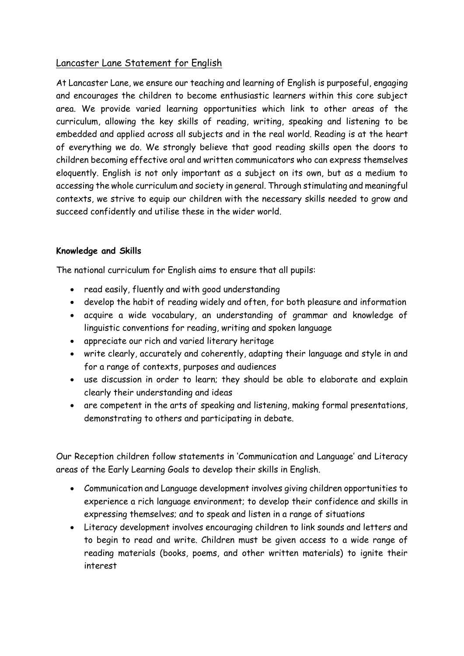# Lancaster Lane Statement for English

At Lancaster Lane, we ensure our teaching and learning of English is purposeful, engaging and encourages the children to become enthusiastic learners within this core subject area. We provide varied learning opportunities which link to other areas of the curriculum, allowing the key skills of reading, writing, speaking and listening to be embedded and applied across all subjects and in the real world. Reading is at the heart of everything we do. We strongly believe that good reading skills open the doors to children becoming effective oral and written communicators who can express themselves eloquently. English is not only important as a subject on its own, but as a medium to accessing the whole curriculum and society in general. Through stimulating and meaningful contexts, we strive to equip our children with the necessary skills needed to grow and succeed confidently and utilise these in the wider world.

# **Knowledge and Skills**

The national curriculum for English aims to ensure that all pupils:

- read easily, fluently and with good understanding
- develop the habit of reading widely and often, for both pleasure and information
- acquire a wide vocabulary, an understanding of grammar and knowledge of linguistic conventions for reading, writing and spoken language
- appreciate our rich and varied literary heritage
- write clearly, accurately and coherently, adapting their language and style in and for a range of contexts, purposes and audiences
- use discussion in order to learn; they should be able to elaborate and explain clearly their understanding and ideas
- are competent in the arts of speaking and listening, making formal presentations, demonstrating to others and participating in debate.

Our Reception children follow statements in 'Communication and Language' and Literacy areas of the Early Learning Goals to develop their skills in English.

- Communication and Language development involves giving children opportunities to experience a rich language environment; to develop their confidence and skills in expressing themselves; and to speak and listen in a range of situations
- Literacy development involves encouraging children to link sounds and letters and to begin to read and write. Children must be given access to a wide range of reading materials (books, poems, and other written materials) to ignite their interest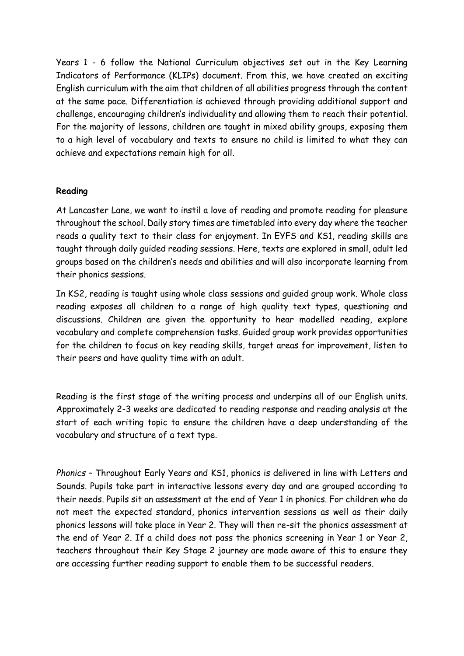Years 1 - 6 follow the National Curriculum objectives set out in the Key Learning Indicators of Performance (KLIPs) document. From this, we have created an exciting English curriculum with the aim that children of all abilities progress through the content at the same pace. Differentiation is achieved through providing additional support and challenge, encouraging children's individuality and allowing them to reach their potential. For the majority of lessons, children are taught in mixed ability groups, exposing them to a high level of vocabulary and texts to ensure no child is limited to what they can achieve and expectations remain high for all.

## **Reading**

At Lancaster Lane, we want to instil a love of reading and promote reading for pleasure throughout the school. Daily story times are timetabled into every day where the teacher reads a quality text to their class for enjoyment. In EYFS and KS1, reading skills are taught through daily guided reading sessions. Here, texts are explored in small, adult led groups based on the children's needs and abilities and will also incorporate learning from their phonics sessions.

In KS2, reading is taught using whole class sessions and guided group work. Whole class reading exposes all children to a range of high quality text types, questioning and discussions. Children are given the opportunity to hear modelled reading, explore vocabulary and complete comprehension tasks. Guided group work provides opportunities for the children to focus on key reading skills, target areas for improvement, listen to their peers and have quality time with an adult.

Reading is the first stage of the writing process and underpins all of our English units. Approximately 2-3 weeks are dedicated to reading response and reading analysis at the start of each writing topic to ensure the children have a deep understanding of the vocabulary and structure of a text type.

*Phonics –* Throughout Early Years and KS1, phonics is delivered in line with Letters and Sounds. Pupils take part in interactive lessons every day and are grouped according to their needs. Pupils sit an assessment at the end of Year 1 in phonics. For children who do not meet the expected standard, phonics intervention sessions as well as their daily phonics lessons will take place in Year 2. They will then re-sit the phonics assessment at the end of Year 2. If a child does not pass the phonics screening in Year 1 or Year 2, teachers throughout their Key Stage 2 journey are made aware of this to ensure they are accessing further reading support to enable them to be successful readers.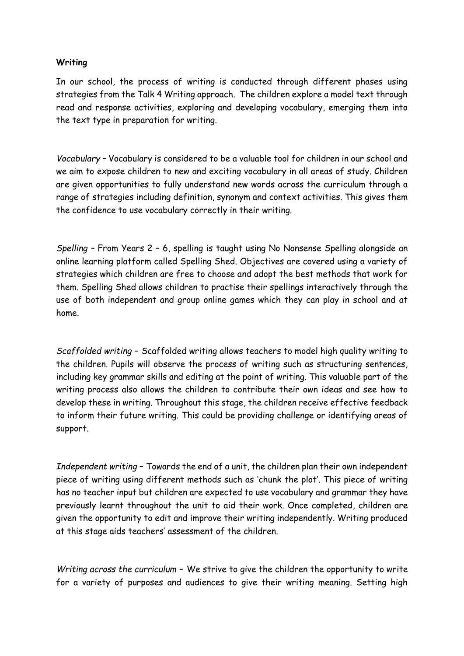## **Writing**

In our school, the process of writing is conducted through different phases using strategies from the Talk 4 Writing approach. The children explore a model text through read and response activities, exploring and developing vocabulary, emerging them into the text type in preparation for writing.

*Vocabulary –* Vocabulary is considered to be a valuable tool for children in our school and we aim to expose children to new and exciting vocabulary in all areas of study. Children are given opportunities to fully understand new words across the curriculum through a range of strategies including definition, synonym and context activities. This gives them the confidence to use vocabulary correctly in their writing.

*Spelling –* From Years 2 – 6, spelling is taught using No Nonsense Spelling alongside an online learning platform called Spelling Shed. Objectives are covered using a variety of strategies which children are free to choose and adopt the best methods that work for them. Spelling Shed allows children to practise their spellings interactively through the use of both independent and group online games which they can play in school and at home.

*Scaffolded writing –* Scaffolded writing allows teachers to model high quality writing to the children. Pupils will observe the process of writing such as structuring sentences, including key grammar skills and editing at the point of writing. This valuable part of the writing process also allows the children to contribute their own ideas and see how to develop these in writing. Throughout this stage, the children receive effective feedback to inform their future writing. This could be providing challenge or identifying areas of support.

*Independent writing –* Towards the end of a unit, the children plan their own independent piece of writing using different methods such as 'chunk the plot'. This piece of writing has no teacher input but children are expected to use vocabulary and grammar they have previously learnt throughout the unit to aid their work. Once completed, children are given the opportunity to edit and improve their writing independently. Writing produced at this stage aids teachers' assessment of the children.

*Writing across the curriculum –* We strive to give the children the opportunity to write for a variety of purposes and audiences to give their writing meaning. Setting high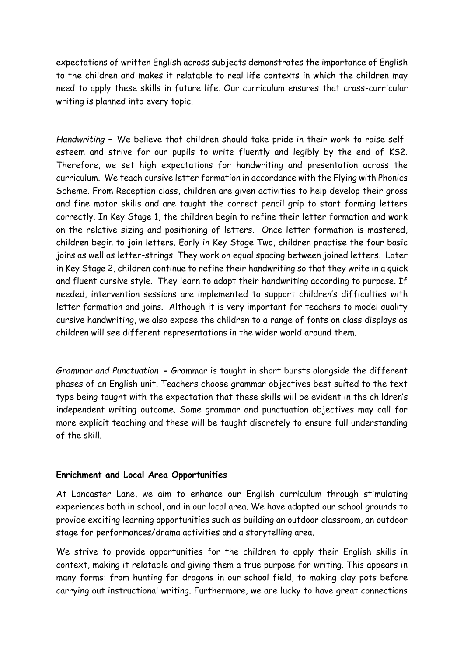expectations of written English across subjects demonstrates the importance of English to the children and makes it relatable to real life contexts in which the children may need to apply these skills in future life. Our curriculum ensures that cross-curricular writing is planned into every topic.

*Handwriting –* We believe that children should take pride in their work to raise selfesteem and strive for our pupils to write fluently and legibly by the end of KS2. Therefore, we set high expectations for handwriting and presentation across the curriculum. We teach cursive letter formation in accordance with the Flying with Phonics Scheme. From Reception class, children are given activities to help develop their gross and fine motor skills and are taught the correct pencil grip to start forming letters correctly. In Key Stage 1, the children begin to refine their letter formation and work on the relative sizing and positioning of letters. Once letter formation is mastered, children begin to join letters. Early in Key Stage Two, children practise the four basic joins as well as letter-strings. They work on equal spacing between joined letters. Later in Key Stage 2, children continue to refine their handwriting so that they write in a quick and fluent cursive style. They learn to adapt their handwriting according to purpose. If needed, intervention sessions are implemented to support children's difficulties with letter formation and joins. Although it is very important for teachers to model quality cursive handwriting, we also expose the children to a range of fonts on class displays as children will see different representations in the wider world around them.

*Grammar and Punctuation* **-** Grammar is taught in short bursts alongside the different phases of an English unit. Teachers choose grammar objectives best suited to the text type being taught with the expectation that these skills will be evident in the children's independent writing outcome. Some grammar and punctuation objectives may call for more explicit teaching and these will be taught discretely to ensure full understanding of the skill.

## **Enrichment and Local Area Opportunities**

At Lancaster Lane, we aim to enhance our English curriculum through stimulating experiences both in school, and in our local area. We have adapted our school grounds to provide exciting learning opportunities such as building an outdoor classroom, an outdoor stage for performances/drama activities and a storytelling area.

We strive to provide opportunities for the children to apply their English skills in context, making it relatable and giving them a true purpose for writing. This appears in many forms: from hunting for dragons in our school field, to making clay pots before carrying out instructional writing. Furthermore, we are lucky to have great connections